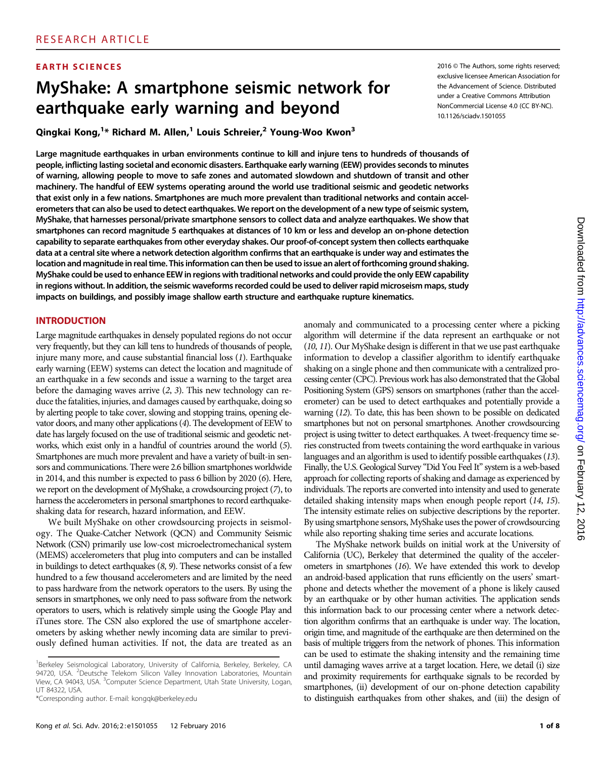### EARTH SCIENCES 2016 © The Authors, some rights reserved;

# MyShake: A smartphone seismic network for earthquake early warning and beyond

Qingkai Kong,<sup>1</sup>\* Richard M. Allen,<sup>1</sup> Louis Schreier,<sup>2</sup> Young-Woo Kwon<sup>3</sup>

Large magnitude earthquakes in urban environments continue to kill and injure tens to hundreds of thousands of people, inflicting lasting societal and economic disasters. Earthquake early warning (EEW) provides seconds to minutes of warning, allowing people to move to safe zones and automated slowdown and shutdown of transit and other machinery. The handful of EEW systems operating around the world use traditional seismic and geodetic networks that exist only in a few nations. Smartphones are much more prevalent than traditional networks and contain accelerometers that can also be used to detect earthquakes. We report on the development of a new type of seismic system, MyShake, that harnesses personal/private smartphone sensors to collect data and analyze earthquakes. We show that smartphones can record magnitude 5 earthquakes at distances of 10 km or less and develop an on-phone detection capability to separate earthquakes from other everyday shakes. Our proof-of-concept system then collects earthquake data at a central site where a network detection algorithm confirms that an earthquake is under way and estimates the location and magnitude in real time. This information can then be used to issue an alert of forthcoming ground shaking. MyShake could be used to enhance EEW in regions with traditional networks and could provide the only EEW capability in regions without. In addition, the seismic waveforms recorded could be used to deliver rapid microseism maps, study impacts on buildings, and possibly image shallow earth structure and earthquake rupture kinematics.

### INTRODUCTION

Large magnitude earthquakes in densely populated regions do not occur very frequently, but they can kill tens to hundreds of thousands of people, injure many more, and cause substantial financial loss (1). Earthquake early warning (EEW) systems can detect the location and magnitude of an earthquake in a few seconds and issue a warning to the target area before the damaging waves arrive (2, 3). This new technology can reduce the fatalities, injuries, and damages caused by earthquake, doing so by alerting people to take cover, slowing and stopping trains, opening elevator doors, and many other applications (4). The development of EEW to date has largely focused on the use of traditional seismic and geodetic networks, which exist only in a handful of countries around the world (5). Smartphones are much more prevalent and have a variety of built-in sensors and communications. There were 2.6 billion smartphones worldwide in 2014, and this number is expected to pass 6 billion by 2020 (6). Here, we report on the development of MyShake, a crowdsourcing project (7), to harness the accelerometers in personal smartphones to record earthquakeshaking data for research, hazard information, and EEW.

We built MyShake on other crowdsourcing projects in seismology. The Quake-Catcher Network (QCN) and Community Seismic Network (CSN) primarily use low-cost microelectromechanical system (MEMS) accelerometers that plug into computers and can be installed in buildings to detect earthquakes (8, 9). These networks consist of a few hundred to a few thousand accelerometers and are limited by the need to pass hardware from the network operators to the users. By using the sensors in smartphones, we only need to pass software from the network operators to users, which is relatively simple using the Google Play and iTunes store. The CSN also explored the use of smartphone accelerometers by asking whether newly incoming data are similar to previously defined human activities. If not, the data are treated as an exclusive licensee American Association for the Advancement of Science. Distributed under a Creative Commons Attribution NonCommercial License 4.0 (CC BY-NC). 10.1126/sciadv.1501055

anomaly and communicated to a processing center where a picking algorithm will determine if the data represent an earthquake or not (10, 11). Our MyShake design is different in that we use past earthquake information to develop a classifier algorithm to identify earthquake shaking on a single phone and then communicate with a centralized processing center (CPC). Previous work has also demonstrated that the Global Positioning System (GPS) sensors on smartphones (rather than the accelerometer) can be used to detect earthquakes and potentially provide a warning (12). To date, this has been shown to be possible on dedicated smartphones but not on personal smartphones. Another crowdsourcing project is using twitter to detect earthquakes. A tweet-frequency time series constructed from tweets containing the word earthquake in various languages and an algorithm is used to identify possible earthquakes (13). Finally, the U.S. Geological Survey "Did You Feel It" system is a web-based approach for collecting reports of shaking and damage as experienced by individuals. The reports are converted into intensity and used to generate detailed shaking intensity maps when enough people report (14, 15). The intensity estimate relies on subjective descriptions by the reporter. By using smartphone sensors, MyShake uses the power of crowdsourcing while also reporting shaking time series and accurate locations.

The MyShake network builds on initial work at the University of California (UC), Berkeley that determined the quality of the accelerometers in smartphones (16). We have extended this work to develop an android-based application that runs efficiently on the users' smartphone and detects whether the movement of a phone is likely caused by an earthquake or by other human activities. The application sends this information back to our processing center where a network detection algorithm confirms that an earthquake is under way. The location, origin time, and magnitude of the earthquake are then determined on the basis of multiple triggers from the network of phones. This information can be used to estimate the shaking intensity and the remaining time until damaging waves arrive at a target location. Here, we detail (i) size and proximity requirements for earthquake signals to be recorded by smartphones, (ii) development of our on-phone detection capability to distinguish earthquakes from other shakes, and (iii) the design of

<sup>&</sup>lt;sup>1</sup>Berkeley Seismological Laboratory, University of California, Berkeley, Berkeley, CA 94720, USA. <sup>2</sup>Deutsche Telekom Silicon Valley Innovation Laboratories, Mountain View, CA 94043, USA. <sup>3</sup>Computer Science Department, Utah State University, Logan, UT 84322, USA.

<sup>\*</sup>Corresponding author. E-mail: kongqk@berkeley.edu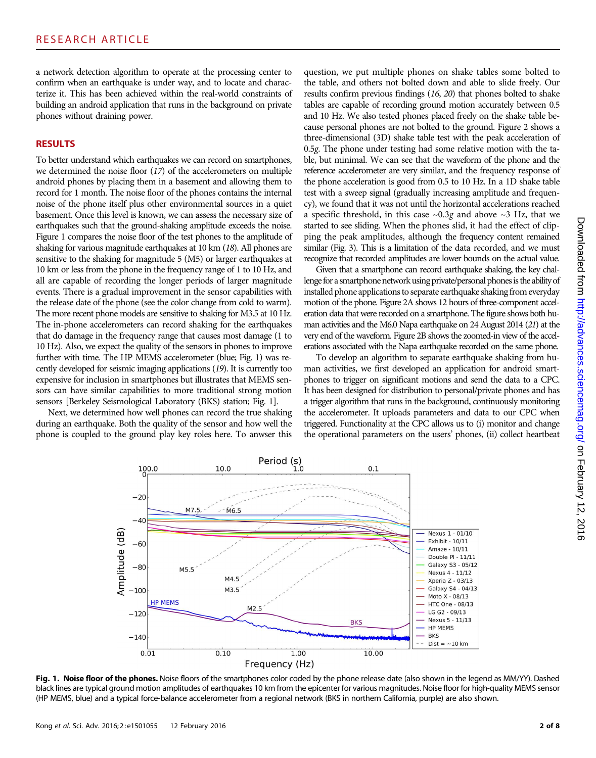a network detection algorithm to operate at the processing center to confirm when an earthquake is under way, and to locate and characterize it. This has been achieved within the real-world constraints of building an android application that runs in the background on private phones without draining power.

### RESULTS

To better understand which earthquakes we can record on smartphones, we determined the noise floor (17) of the accelerometers on multiple android phones by placing them in a basement and allowing them to record for 1 month. The noise floor of the phones contains the internal noise of the phone itself plus other environmental sources in a quiet basement. Once this level is known, we can assess the necessary size of earthquakes such that the ground-shaking amplitude exceeds the noise. Figure 1 compares the noise floor of the test phones to the amplitude of shaking for various magnitude earthquakes at 10 km (18). All phones are sensitive to the shaking for magnitude 5 (M5) or larger earthquakes at 10 km or less from the phone in the frequency range of 1 to 10 Hz, and all are capable of recording the longer periods of larger magnitude events. There is a gradual improvement in the sensor capabilities with the release date of the phone (see the color change from cold to warm). The more recent phone models are sensitive to shaking for M3.5 at 10 Hz. The in-phone accelerometers can record shaking for the earthquakes that do damage in the frequency range that causes most damage (1 to 10 Hz). Also, we expect the quality of the sensors in phones to improve further with time. The HP MEMS accelerometer (blue; Fig. 1) was recently developed for seismic imaging applications (19). It is currently too expensive for inclusion in smartphones but illustrates that MEMS sensors can have similar capabilities to more traditional strong motion sensors [Berkeley Seismological Laboratory (BKS) station; Fig. 1].

Next, we determined how well phones can record the true shaking during an earthquake. Both the quality of the sensor and how well the phone is coupled to the ground play key roles here. To anwser this question, we put multiple phones on shake tables some bolted to the table, and others not bolted down and able to slide freely. Our results confirm previous findings (16, 20) that phones bolted to shake tables are capable of recording ground motion accurately between 0.5 and 10 Hz. We also tested phones placed freely on the shake table because personal phones are not bolted to the ground. Figure 2 shows a three-dimensional (3D) shake table test with the peak acceleration of 0.5g. The phone under testing had some relative motion with the table, but minimal. We can see that the waveform of the phone and the reference accelerometer are very similar, and the frequency response of the phone acceleration is good from 0.5 to 10 Hz. In a 1D shake table test with a sweep signal (gradually increasing amplitude and frequency), we found that it was not until the horizontal accelerations reached a specific threshold, in this case  $\sim 0.3g$  and above  $\sim 3$  Hz, that we started to see sliding. When the phones slid, it had the effect of clipping the peak amplitudes, although the frequency content remained similar (Fig. 3). This is a limitation of the data recorded, and we must recognize that recorded amplitudes are lower bounds on the actual value.

Given that a smartphone can record earthquake shaking, the key challenge for a smartphone network using private/personal phones is the ability of installed phone applications to separate earthquake shaking from everyday motion of the phone. Figure 2A shows 12 hours of three-component acceleration data that were recorded on a smartphone. The figure shows both human activities and the M6.0 Napa earthquake on 24 August 2014 (21) at the very end of the waveform. Figure 2B shows the zoomed-in view of the accelerations associated with the Napa earthquake recorded on the same phone.

To develop an algorithm to separate earthquake shaking from human activities, we first developed an application for android smartphones to trigger on significant motions and send the data to a CPC. It has been designed for distribution to personal/private phones and has a trigger algorithm that runs in the background, continuously monitoring the accelerometer. It uploads parameters and data to our CPC when triggered. Functionality at the CPC allows us to (i) monitor and change the operational parameters on the users' phones, (ii) collect heartbeat



Fig. 1. Noise floor of the phones. Noise floors of the smartphones color coded by the phone release date (also shown in the legend as MM/YY). Dashed black lines are typical ground motion amplitudes of earthquakes 10 km from the epicenter for various magnitudes. Noise floor for high-quality MEMS sensor (HP MEMS, blue) and a typical force-balance accelerometer from a regional network (BKS in northern California, purple) are also shown.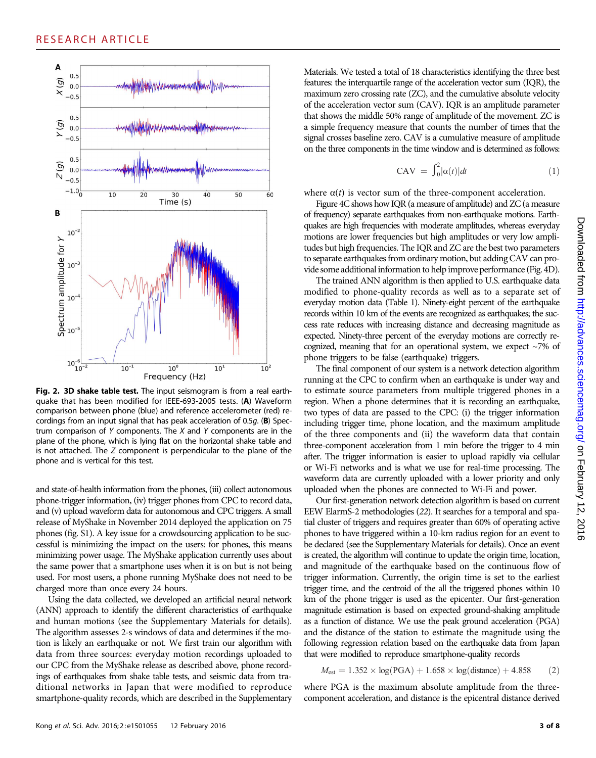

Fig. 2. 3D shake table test. The input seismogram is from a real earthquake that has been modified for IEEE-693-2005 tests. (A) Waveform comparison between phone (blue) and reference accelerometer (red) recordings from an input signal that has peak acceleration of 0.5g. (B) Spectrum comparison of  $Y$  components. The  $X$  and  $Y$  components are in the plane of the phone, which is lying flat on the horizontal shake table and is not attached. The  $Z$  component is perpendicular to the plane of the phone and is vertical for this test.

and state-of-health information from the phones, (iii) collect autonomous phone-trigger information, (iv) trigger phones from CPC to record data, and (v) upload waveform data for autonomous and CPC triggers. A small release of MyShake in November 2014 deployed the application on 75 phones (fig. S1). A key issue for a crowdsourcing application to be successful is minimizing the impact on the users: for phones, this means minimizing power usage. The MyShake application currently uses about the same power that a smartphone uses when it is on but is not being used. For most users, a phone running MyShake does not need to be charged more than once every 24 hours.

Using the data collected, we developed an artificial neural network (ANN) approach to identify the different characteristics of earthquake and human motions (see the Supplementary Materials for details). The algorithm assesses 2-s windows of data and determines if the motion is likely an earthquake or not. We first train our algorithm with data from three sources: everyday motion recordings uploaded to our CPC from the MyShake release as described above, phone recordings of earthquakes from shake table tests, and seismic data from traditional networks in Japan that were modified to reproduce smartphone-quality records, which are described in the Supplementary

Materials. We tested a total of 18 characteristics identifying the three best features: the interquartile range of the acceleration vector sum (IQR), the maximum zero crossing rate (ZC), and the cumulative absolute velocity of the acceleration vector sum (CAV). IQR is an amplitude parameter that shows the middle 50% range of amplitude of the movement. ZC is a simple frequency measure that counts the number of times that the signal crosses baseline zero. CAV is a cumulative measure of amplitude on the three components in the time window and is determined as follows:

$$
CAV = \int_0^2 |\alpha(t)| dt
$$
 (1)

where  $\alpha(t)$  is vector sum of the three-component acceleration.

Figure 4C shows how IQR (a measure of amplitude) and ZC (a measure of frequency) separate earthquakes from non-earthquake motions. Earthquakes are high frequencies with moderate amplitudes, whereas everyday motions are lower frequencies but high amplitudes or very low amplitudes but high frequencies. The IQR and ZC are the best two parameters to separate earthquakes from ordinary motion, but adding CAV can provide some additional information to help improve performance (Fig. 4D).

The trained ANN algorithm is then applied to U.S. earthquake data modified to phone-quality records as well as to a separate set of everyday motion data (Table 1). Ninety-eight percent of the earthquake records within 10 km of the events are recognized as earthquakes; the success rate reduces with increasing distance and decreasing magnitude as expected. Ninety-three percent of the everyday motions are correctly recognized, meaning that for an operational system, we expect ~7% of phone triggers to be false (earthquake) triggers.

The final component of our system is a network detection algorithm running at the CPC to confirm when an earthquake is under way and to estimate source parameters from multiple triggered phones in a region. When a phone determines that it is recording an earthquake, two types of data are passed to the CPC: (i) the trigger information including trigger time, phone location, and the maximum amplitude of the three components and (ii) the waveform data that contain three-component acceleration from 1 min before the trigger to 4 min after. The trigger information is easier to upload rapidly via cellular or Wi-Fi networks and is what we use for real-time processing. The waveform data are currently uploaded with a lower priority and only uploaded when the phones are connected to Wi-Fi and power.

Our first-generation network detection algorithm is based on current EEW ElarmS-2 methodologies (22). It searches for a temporal and spatial cluster of triggers and requires greater than 60% of operating active phones to have triggered within a 10-km radius region for an event to be declared (see the Supplementary Materials for details). Once an event is created, the algorithm will continue to update the origin time, location, and magnitude of the earthquake based on the continuous flow of trigger information. Currently, the origin time is set to the earliest trigger time, and the centroid of the all the triggered phones within 10 km of the phone trigger is used as the epicenter. Our first-generation magnitude estimation is based on expected ground-shaking amplitude as a function of distance. We use the peak ground acceleration (PGA) and the distance of the station to estimate the magnitude using the following regression relation based on the earthquake data from Japan that were modified to reproduce smartphone-quality records

 $M_{\text{est}} = 1.352 \times \log(\text{PGA}) + 1.658 \times \log(\text{distance}) + 4.858$  (2)

where PGA is the maximum absolute amplitude from the threecomponent acceleration, and distance is the epicentral distance derived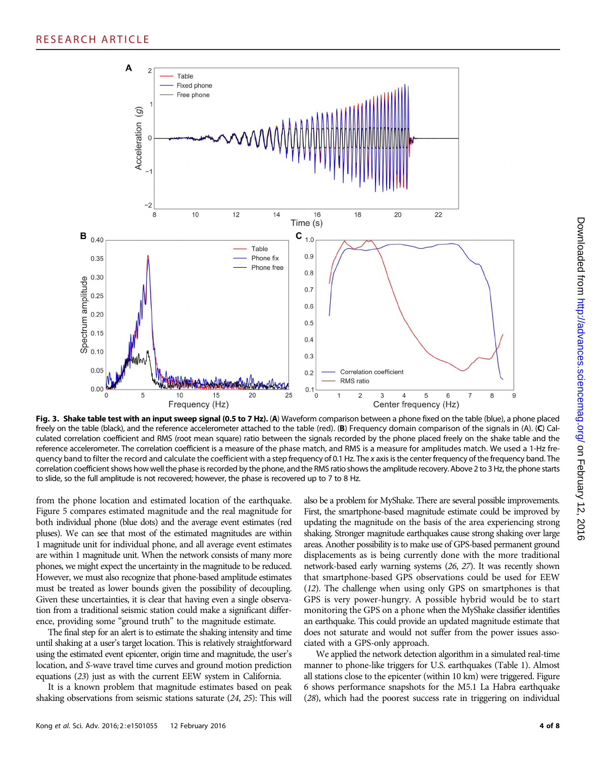

Fig. 3. Shake table test with an input sweep signal (0.5 to 7 Hz). (A) Waveform comparison between a phone fixed on the table (blue), a phone placed freely on the table (black), and the reference accelerometer attached to the table (red). (B) Frequency domain comparison of the signals in (A). (C) Calculated correlation coefficient and RMS (root mean square) ratio between the signals recorded by the phone placed freely on the shake table and the reference accelerometer. The correlation coefficient is a measure of the phase match, and RMS is a measure for amplitudes match. We used a 1-Hz frequency band to filter the record and calculate the coefficient with a step frequency of 0.1 Hz. The x axis is the center frequency of the frequency band. The correlation coefficient shows how well the phase is recorded by the phone, and the RMS ratio shows the amplitude recovery. Above 2 to 3 Hz, the phone starts to slide, so the full amplitude is not recovered; however, the phase is recovered up to 7 to 8 Hz.

from the phone location and estimated location of the earthquake. Figure 5 compares estimated magnitude and the real magnitude for both individual phone (blue dots) and the average event estimates (red pluses). We can see that most of the estimated magnitudes are within 1 magnitude unit for individual phone, and all average event estimates are within 1 magnitude unit. When the network consists of many more phones, we might expect the uncertainty in the magnitude to be reduced. However, we must also recognize that phone-based amplitude estimates must be treated as lower bounds given the possibility of decoupling. Given these uncertainties, it is clear that having even a single observation from a traditional seismic station could make a significant difference, providing some "ground truth" to the magnitude estimate.

The final step for an alert is to estimate the shaking intensity and time until shaking at a user's target location. This is relatively straightforward using the estimated event epicenter, origin time and magnitude, the user's location, and S-wave travel time curves and ground motion prediction equations (23) just as with the current EEW system in California.

It is a known problem that magnitude estimates based on peak shaking observations from seismic stations saturate (24, 25): This will also be a problem for MyShake. There are several possible improvements. First, the smartphone-based magnitude estimate could be improved by updating the magnitude on the basis of the area experiencing strong shaking. Stronger magnitude earthquakes cause strong shaking over large areas. Another possibility is to make use of GPS-based permanent ground displacements as is being currently done with the more traditional network-based early warning systems (26, 27). It was recently shown that smartphone-based GPS observations could be used for EEW (12). The challenge when using only GPS on smartphones is that GPS is very power-hungry. A possible hybrid would be to start monitoring the GPS on a phone when the MyShake classifier identifies an earthquake. This could provide an updated magnitude estimate that does not saturate and would not suffer from the power issues associated with a GPS-only approach.

We applied the network detection algorithm in a simulated real-time manner to phone-like triggers for U.S. earthquakes (Table 1). Almost all stations close to the epicenter (within 10 km) were triggered. Figure 6 shows performance snapshots for the M5.1 La Habra earthquake (28), which had the poorest success rate in triggering on individual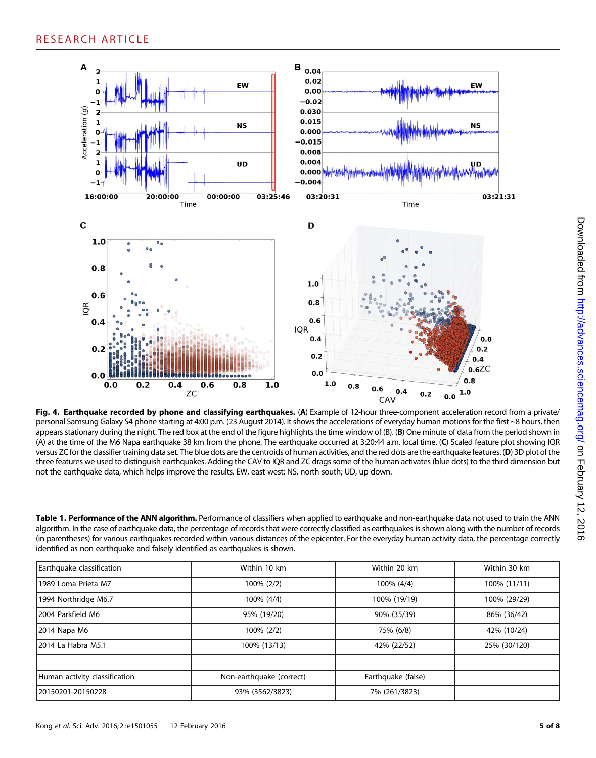

Fig. 4. Earthquake recorded by phone and classifying earthquakes. (A) Example of 12-hour three-component acceleration record from a private/ personal Samsung Galaxy S4 phone starting at 4:00 p.m. (23 August 2014). It shows the accelerations of everyday human motions for the first ~8 hours, then appears stationary during the night. The red box at the end of the figure highlights the time window of  $(B)$ .  $(B)$  One minute of data from the period shown in (A) at the time of the M6 Napa earthquake 38 km from the phone. The earthquake occurred at 3:20:44 a.m. local time. (C) Scaled feature plot showing IQR versus ZC for the classifier training data set. The blue dots are the centroids of human activities, and the red dots are the earthquake features. (D) 3D plot of the three features we used to distinguish earthquakes. Adding the CAV to IQR and ZC drags some of the human activates (blue dots) to the third dimension but not the earthquake data, which helps improve the results. EW, east-west; NS, north-south; UD, up-down.

Table 1. Performance of the ANN algorithm. Performance of classifiers when applied to earthquake and non-earthquake data not used to train the ANN algorithm. In the case of earthquake data, the percentage of records that were correctly classified as earthquakes is shown along with the number of records (in parentheses) for various earthquakes recorded within various distances of the epicenter. For the everyday human activity data, the percentage correctly identified as non-earthquake and falsely identified as earthquakes is shown.

| Earthquake classification     | Within 10 km             | Within 20 km       | Within 30 km |
|-------------------------------|--------------------------|--------------------|--------------|
| 1989 Loma Prieta M7           | 100% (2/2)               | 100% (4/4)         | 100% (11/11) |
| 1994 Northridge M6.7          | 100% (4/4)               | 100% (19/19)       | 100% (29/29) |
| 2004 Parkfield M6             | 95% (19/20)              | 90% (35/39)        | 86% (36/42)  |
| 2014 Napa M6                  | 100% (2/2)               | 75% (6/8)          | 42% (10/24)  |
| 2014 La Habra M5.1            | 100% (13/13)             | 42% (22/52)        | 25% (30/120) |
|                               |                          |                    |              |
| Human activity classification | Non-earthquake (correct) | Earthquake (false) |              |
| 20150201-20150228             | 93% (3562/3823)          | 7% (261/3823)      |              |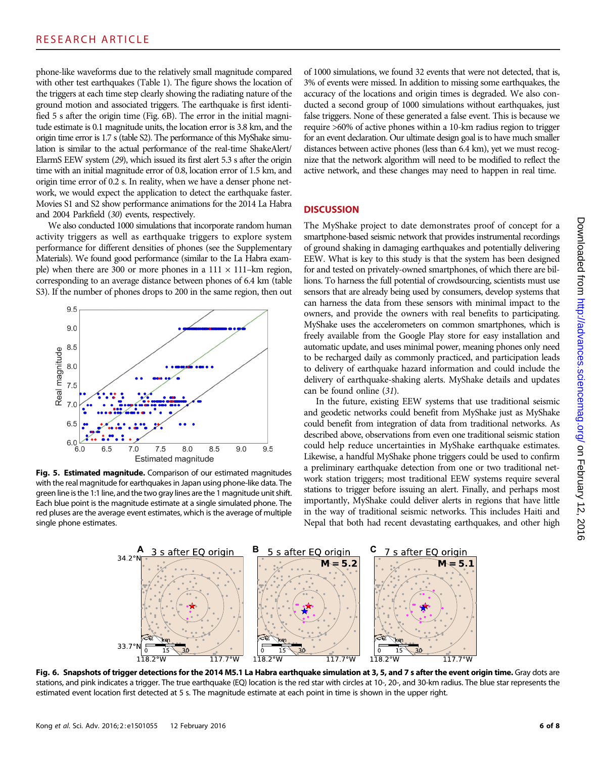phone-like waveforms due to the relatively small magnitude compared with other test earthquakes (Table 1). The figure shows the location of the triggers at each time step clearly showing the radiating nature of the ground motion and associated triggers. The earthquake is first identified 5 s after the origin time (Fig. 6B). The error in the initial magnitude estimate is 0.1 magnitude units, the location error is 3.8 km, and the origin time error is 1.7 s (table S2). The performance of this MyShake simulation is similar to the actual performance of the real-time ShakeAlert/ ElarmS EEW system (29), which issued its first alert 5.3 s after the origin time with an initial magnitude error of 0.8, location error of 1.5 km, and origin time error of 0.2 s. In reality, when we have a denser phone network, we would expect the application to detect the earthquake faster. Movies S1 and S2 show performance animations for the 2014 La Habra and 2004 Parkfield (30) events, respectively.

We also conducted 1000 simulations that incorporate random human activity triggers as well as earthquake triggers to explore system performance for different densities of phones (see the Supplementary Materials). We found good performance (similar to the La Habra example) when there are 300 or more phones in a 111  $\times$  111-km region, corresponding to an average distance between phones of 6.4 km (table S3). If the number of phones drops to 200 in the same region, then out



Fig. 5. Estimated magnitude. Comparison of our estimated magnitudes with the real magnitude for earthquakes in Japan using phone-like data. The green line is the 1:1 line, and the two gray lines are the 1 magnitude unit shift. Each blue point is the magnitude estimate at a single simulated phone. The red pluses are the average event estimates, which is the average of multiple single phone estimates.

of 1000 simulations, we found 32 events that were not detected, that is, 3% of events were missed. In addition to missing some earthquakes, the accuracy of the locations and origin times is degraded. We also conducted a second group of 1000 simulations without earthquakes, just false triggers. None of these generated a false event. This is because we require >60% of active phones within a 10-km radius region to trigger for an event declaration. Our ultimate design goal is to have much smaller distances between active phones (less than 6.4 km), yet we must recognize that the network algorithm will need to be modified to reflect the active network, and these changes may need to happen in real time.

### **DISCUSSION**

The MyShake project to date demonstrates proof of concept for a smartphone-based seismic network that provides instrumental recordings of ground shaking in damaging earthquakes and potentially delivering EEW. What is key to this study is that the system has been designed for and tested on privately-owned smartphones, of which there are billions. To harness the full potential of crowdsourcing, scientists must use sensors that are already being used by consumers, develop systems that can harness the data from these sensors with minimal impact to the owners, and provide the owners with real benefits to participating. MyShake uses the accelerometers on common smartphones, which is freely available from the Google Play store for easy installation and automatic update, and uses minimal power, meaning phones only need to be recharged daily as commonly practiced, and participation leads to delivery of earthquake hazard information and could include the delivery of earthquake-shaking alerts. MyShake details and updates can be found online (31).

In the future, existing EEW systems that use traditional seismic and geodetic networks could benefit from MyShake just as MyShake could benefit from integration of data from traditional networks. As described above, observations from even one traditional seismic station could help reduce uncertainties in MyShake earthquake estimates. Likewise, a handful MyShake phone triggers could be used to confirm a preliminary earthquake detection from one or two traditional network station triggers; most traditional EEW systems require several stations to trigger before issuing an alert. Finally, and perhaps most importantly, MyShake could deliver alerts in regions that have little in the way of traditional seismic networks. This includes Haiti and Nepal that both had recent devastating earthquakes, and other high



Fig. 6. Snapshots of trigger detections for the 2014 M5.1 La Habra earthquake simulation at 3, 5, and 7 s after the event origin time. Gray dots are stations, and pink indicates a trigger. The true earthquake (EQ) location is the red star with circles at 10-, 20-, and 30-km radius. The blue star represents the estimated event location first detected at 5 s. The magnitude estimate at each point in time is shown in the upper right.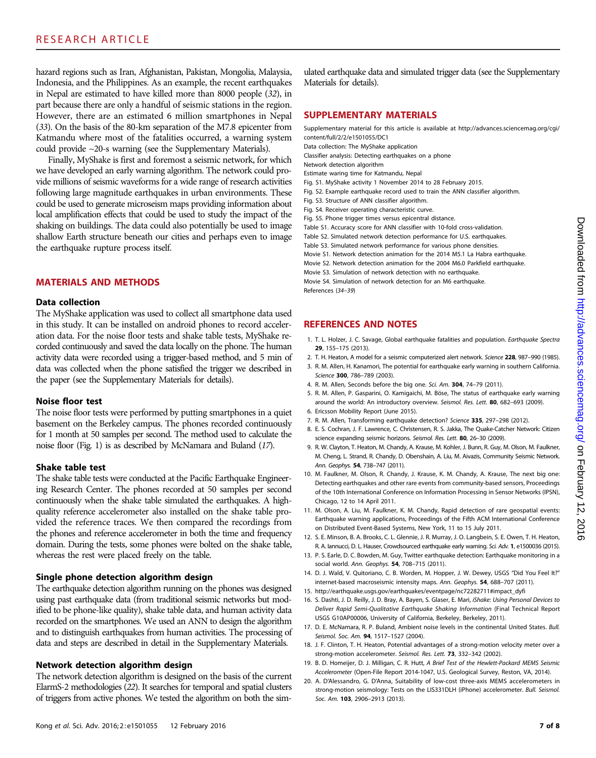hazard regions such as Iran, Afghanistan, Pakistan, Mongolia, Malaysia, Indonesia, and the Philippines. As an example, the recent earthquakes in Nepal are estimated to have killed more than 8000 people (32), in part because there are only a handful of seismic stations in the region. However, there are an estimated 6 million smartphones in Nepal (33). On the basis of the 80-km separation of the M7.8 epicenter from Katmandu where most of the fatalities occurred, a warning system could provide ~20-s warning (see the Supplementary Materials).

Finally, MyShake is first and foremost a seismic network, for which we have developed an early warning algorithm. The network could provide millions of seismic waveforms for a wide range of research activities following large magnitude earthquakes in urban environments. These could be used to generate microseism maps providing information about local amplification effects that could be used to study the impact of the shaking on buildings. The data could also potentially be used to image shallow Earth structure beneath our cities and perhaps even to image the earthquake rupture process itself.

### MATERIALS AND METHODS

#### Data collection

The MyShake application was used to collect all smartphone data used in this study. It can be installed on android phones to record acceleration data. For the noise floor tests and shake table tests, MyShake recorded continuously and saved the data locally on the phone. The human activity data were recorded using a trigger-based method, and 5 min of data was collected when the phone satisfied the trigger we described in the paper (see the Supplementary Materials for details).

#### Noise floor test

The noise floor tests were performed by putting smartphones in a quiet basement on the Berkeley campus. The phones recorded continuously for 1 month at 50 samples per second. The method used to calculate the noise floor (Fig. 1) is as described by McNamara and Buland (17).

#### Shake table test

The shake table tests were conducted at the Pacific Earthquake Engineering Research Center. The phones recorded at 50 samples per second continuously when the shake table simulated the earthquakes. A highquality reference accelerometer also installed on the shake table provided the reference traces. We then compared the recordings from the phones and reference accelerometer in both the time and frequency domain. During the tests, some phones were bolted on the shake table, whereas the rest were placed freely on the table.

#### Single phone detection algorithm design

The earthquake detection algorithm running on the phones was designed using past earthquake data (from traditional seismic networks but modified to be phone-like quality), shake table data, and human activity data recorded on the smartphones. We used an ANN to design the algorithm and to distinguish earthquakes from human activities. The processing of data and steps are described in detail in the Supplementary Materials.

#### Network detection algorithm design

The network detection algorithm is designed on the basis of the current ElarmS-2 methodologies (22). It searches for temporal and spatial clusters of triggers from active phones. We tested the algorithm on both the simulated earthquake data and simulated trigger data (see the Supplementary Materials for details).

## SUPPLEMENTARY MATERIALS

Supplementary material for this article is available at [http://advances.sciencemag.org/cgi/](http://advances.sciencemag.org/cgi/content/full/2/2/e1501055/DC1) [content/full/2/2/e1501055/DC1](http://advances.sciencemag.org/cgi/content/full/2/2/e1501055/DC1)

Data collection: The MyShake application

- Classifier analysis: Detecting earthquakes on a phone
- Network detection algorithm

Estimate waring time for Katmandu, Nepal

- Fig. S1. MyShake activity 1 November 2014 to 28 February 2015.
- Fig. S2. Example earthquake record used to train the ANN classifier algorithm.
- Fig. S3. Structure of ANN classifier algorithm.
- Fig. S4. Receiver operating characteristic curve.
- Fig. S5. Phone trigger times versus epicentral distance.
- Table S1. Accuracy score for ANN classifier with 10-fold cross-validation.
- Table S2. Simulated network detection performance for U.S. earthquakes.
- Table S3. Simulated network performance for various phone densities.
- Movie S1. Network detection animation for the 2014 M5.1 La Habra earthquake.
- Movie S2. Network detection animation for the 2004 M6.0 Parkfield earthquake.
- Movie S3. Simulation of network detection with no earthquake.

Movie S4. Simulation of network detection for an M6 earthquake. References (34–39)

# REFERENCES AND NOTES

- 1. T. L. Holzer, J. C. Savage, Global earthquake fatalities and population. Earthquake Spectra 29, 155–175 (2013).
- 2. T. H. Heaton, A model for a seismic computerized alert network. Science 228, 987-990 (1985).
- 3. R. M. Allen, H. Kanamori, The potential for earthquake early warning in southern California. Science 300, 786-789 (2003).
- 4. R. M. Allen, Seconds before the big one. Sci. Am. 304, 74–79 (2011).
- 5. R. M. Allen, P. Gasparini, O. Kamigaichi, M. Böse, The status of earthquake early warning around the world: An introductory overview. Seismol. Res. Lett. 80, 682–693 (2009).
- 6. Ericsson Mobility Report (June 2015).
- 7. R. M. Allen, Transforming earthquake detection? Science 335, 297–298 (2012). 8. E. S. Cochran, J. F. Lawrence, C. Christensen, R. S. Jakka, The Quake-Catcher Network: Citizen science expanding seismic horizons. Seismol. Res. Lett. 80, 26–30 (2009).
- 9. R. W. Clayton, T. Heaton, M. Chandy, A. Krause, M. Kohler, J. Bunn, R. Guy, M. Olson, M. Faulkner, M. Cheng, L. Strand, R. Chandy, D. Obenshain, A. Liu, M. Aivazis, Community Seismic Network. Ann. Geophys. 54, 738–747 (2011).
- 10. M. Faulkner, M. Olson, R. Chandy, J. Krause, K. M. Chandy, A. Krause, The next big one: Detecting earthquakes and other rare events from community-based sensors, Proceedings of the 10th International Conference on Information Processing in Sensor Networks (IPSN), Chicago, 12 to 14 April 2011.
- 11. M. Olson, A. Liu, M. Faulkner, K. M. Chandy, Rapid detection of rare geospatial events: Earthquake warning applications, Proceedings of the Fifth ACM International Conference on Distributed Event-Based Systems, New York, 11 to 15 July 2011.
- 12. S. E. Minson, B. A. Brooks, C. L. Glennie, J. R. Murray, J. O. Langbein, S. E. Owen, T. H. Heaton, R. A. Iannucci, D. L. Hauser, Crowdsourced earthquake early warning. Sci. Adv. 1, e1500036 (2015).
- 13. P. S. Earle, D. C. Bowden, M. Guy, Twitter earthquake detection: Earthquake monitoring in a social world. Ann. Geophys. 54, 708–715 (2011).
- 14. D. J. Wald, V. Quitoriano, C. B. Worden, M. Hopper, J. W. Dewey, USGS "Did You Feel It?" internet-based macroseismic intensity maps. Ann. Geophys. 54, 688–707 (2011).
- 15. [http://earthquake.usgs.gov/earthquakes/eventpage/nc72282711#impact\\_dyfi](http://earthquake.usgs.gov/earthquakes/eventpage/nc72282711#impact_dyfi)
- 16. S. Dashti, J. D. Reilly, J. D. Bray, A. Bayen, S. Glaser, E. Mari, iShake: Using Personal Devices to Deliver Rapid Semi-Qualitative Earthquake Shaking Information (Final Technical Report USGS G10AP00006, University of California, Berkeley, Berkeley, 2011).
- 17. D. E. McNamara, R. P. Buland, Ambient noise levels in the continental United States. Bull. Seismol. Soc. Am. 94, 1517-1527 (2004).
- 18. J. F. Clinton, T. H. Heaton, Potential advantages of a strong-motion velocity meter over a strong-motion accelerometer. Seismol. Res. Lett. 73, 332–342 (2002).
- 19. B. D. Homeijer, D. J. Milligan, C. R. Hutt, A Brief Test of the Hewlett-Packard MEMS Seismic Accelerometer (Open-File Report 2014-1047, U.S. Geological Survey, Reston, VA, 2014).
- 20. A. D'Alessandro, G. D'Anna, Suitability of low-cost three-axis MEMS accelerometers in strong-motion seismology: Tests on the LIS331DLH (iPhone) accelerometer. Bull. Seismol. Soc. Am. **103**, 2906-2913 (2013).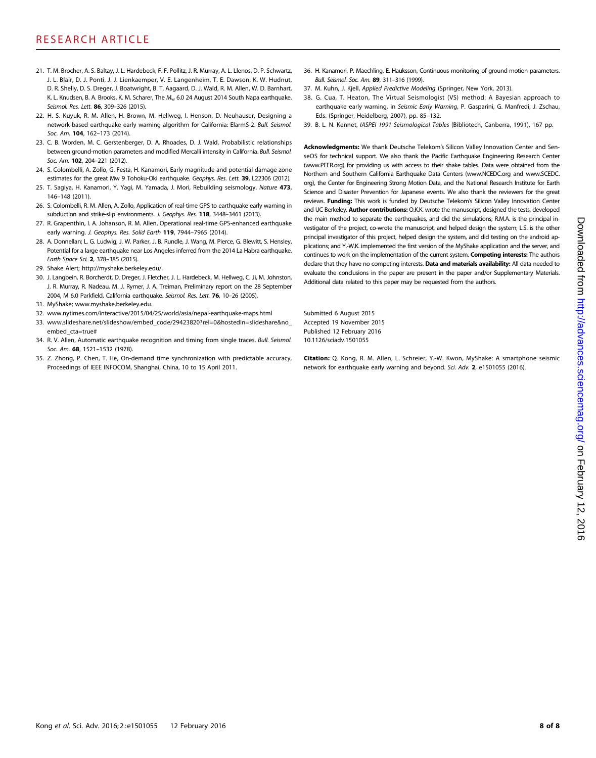- 21. T. M. Brocher, A. S. Baltay, J. L. Hardebeck, F. F. Pollitz, J. R. Murray, A. L. Llenos, D. P. Schwartz, J. L. Blair, D. J. Ponti, J. J. Lienkaemper, V. E. Langenheim, T. E. Dawson, K. W. Hudnut, D. R. Shelly, D. S. Dreger, J. Boatwright, B. T. Aagaard, D. J. Wald, R. M. Allen, W. D. Barnhart, K. L. Knudsen, B. A. Brooks, K. M. Scharer, The M<sub>w</sub> 6.0 24 August 2014 South Napa earthquake. Seismol. Res. Lett. 86, 309-326 (2015).
- 22. H. S. Kuyuk, R. M. Allen, H. Brown, M. Hellweg, I. Henson, D. Neuhauser, Designing a network-based earthquake early warning algorithm for California: ElarmS-2. Bull. Seismol. Soc. Am. 104, 162-173 (2014).
- 23. C. B. Worden, M. C. Gerstenberger, D. A. Rhoades, D. J. Wald, Probabilistic relationships between ground-motion parameters and modified Mercalli intensity in California. Bull. Seismol.  $Soc$  Am  $102$   $204-221$  (2012).
- 24. S. Colombelli, A. Zollo, G. Festa, H. Kanamori, Early magnitude and potential damage zone estimates for the great Mw 9 Tohoku-Oki earthquake. Geophys. Res. Lett. 39, L22306 (2012).
- 25. T. Sagiya, H. Kanamori, Y. Yagi, M. Yamada, J. Mori, Rebuilding seismology. Nature 473, 146–148 (2011).
- 26. S. Colombelli, R. M. Allen, A. Zollo, Application of real-time GPS to earthquake early warning in subduction and strike-slip environments. J. Geophys. Res. 118, 3448-3461 (2013).
- 27. R. Grapenthin, I. A. Johanson, R. M. Allen, Operational real-time GPS-enhanced earthquake early warning. J. Geophys. Res. Solid Earth 119, 7944-7965 (2014).
- 28. A. Donnellan; L. G. Ludwig, J. W. Parker, J. B. Rundle, J. Wang, M. Pierce, G. Blewitt, S. Hensley, Potential for a large earthquake near Los Angeles inferred from the 2014 La Habra earthquake. Earth Space Sci. 2, 378-385 (2015).
- 29. Shake Alert; [http://myshake.berkeley.edu/.](http://myshake.berkeley.edu/)
- 30. J. Langbein, R. Borcherdt, D. Dreger, J. Fletcher, J. L. Hardebeck, M. Hellweg, C. Ji, M. Johnston, J. R. Murray, R. Nadeau, M. J. Rymer, J. A. Treiman, Preliminary report on the 28 September 2004, M 6.0 Parkfield, California earthquake. Seismol. Res. Lett. 76, 10-26 (2005).
- 31. MyShake; [www.myshake.berkeley.edu.](http://www.myshake.berkeley.edu)
- 32. [www.nytimes.com/interactive/2015/04/25/world/asia/nepal-earthquake-maps.html](http://www.nytimes.com/interactive/2015/04/25/world/asia/nepalarthquakeaps.html)
- 33. [www.slideshare.net/slideshow/embed\\_code/29423820?rel=0&hostedIn=slideshare&no\\_](http://www.slideshare.net/slideshow/embed_code/29423820?rel=amp;hostedIn=lideshare&no_embed_cta=rue#) [embed\\_cta=true#](http://www.slideshare.net/slideshow/embed_code/29423820?rel=amp;hostedIn=lideshare&no_embed_cta=rue#)
- 34. R. V. Allen, Automatic earthquake recognition and timing from single traces. Bull. Seismol. Soc. Am. 68, 1521-1532 (1978).
- 35. Z. Zhong, P. Chen, T. He, On-demand time synchronization with predictable accuracy, Proceedings of IEEE INFOCOM, Shanghai, China, 10 to 15 April 2011.
- 36. H. Kanamori, P. Maechling, E. Hauksson, Continuous monitoring of ground-motion parameters. Bull. Seismol. Soc. Am. 89, 311-316 (1999).
- 37. M. Kuhn, J. Kjell, Applied Predictive Modeling (Springer, New York, 2013).
- 38. G. Cua, T. Heaton, The Virtual Seismologist (VS) method: A Bayesian approach to earthquake early warning, in Seismic Early Warning, P. Gasparini, G. Manfredi, J. Zschau, Eds. (Springer, Heidelberg, 2007), pp. 85–132.
- 39. B. L. N. Kennet, IASPEI 1991 Seismological Tables (Bibliotech, Canberra, 1991), 167 pp.

Acknowledgments: We thank Deutsche Telekom's Silicon Valley Innovation Center and SenseOS for technical support. We also thank the Pacific Earthquake Engineering Research Center (www.PEER.org) for providing us with access to their shake tables. Data were obtained from the Northern and Southern California Earthquake Data Centers (www.NCEDC.org and www.SCEDC. org), the Center for Engineering Strong Motion Data, and the National Research Institute for Earth Science and Disaster Prevention for Japanese events. We also thank the reviewers for the great reviews. Funding: This work is funded by Deutsche Telekom's Silicon Valley Innovation Center and UC Berkeley. Author contributions: Q.K.K. wrote the manuscript, designed the tests, developed the main method to separate the earthquakes, and did the simulations; R.M.A. is the principal investigator of the project, co-wrote the manuscript, and helped design the system; L.S. is the other principal investigator of this project, helped design the system, and did testing on the android applications; and Y.-W.K. implemented the first version of the MyShake application and the server, and continues to work on the implementation of the current system. Competing interests: The authors declare that they have no competing interests. Data and materials availability: All data needed to evaluate the conclusions in the paper are present in the paper and/or Supplementary Materials. Additional data related to this paper may be requested from the authors.

Submitted 6 August 2015 Accepted 19 November 2015 Published 12 February 2016 10.1126/sciadv.1501055

Citation: Q. Kong, R. M. Allen, L. Schreier, Y.-W. Kwon, MyShake: A smartphone seismic network for earthquake early warning and beyond. Sci. Adv. 2, e1501055 (2016).